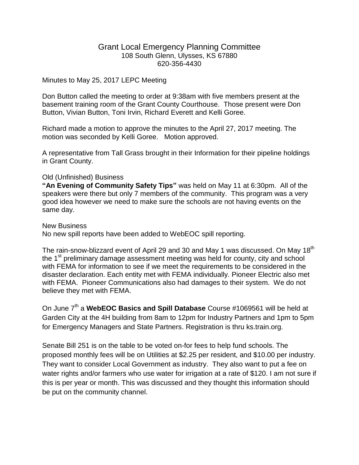## Grant Local Emergency Planning Committee 108 South Glenn, Ulysses, KS 67880 620-356-4430

## Minutes to May 25, 2017 LEPC Meeting

Don Button called the meeting to order at 9:38am with five members present at the basement training room of the Grant County Courthouse. Those present were Don Button, Vivian Button, Toni Irvin, Richard Everett and Kelli Goree.

Richard made a motion to approve the minutes to the April 27, 2017 meeting. The motion was seconded by Kelli Goree. Motion approved.

A representative from Tall Grass brought in their Information for their pipeline holdings in Grant County.

## Old (Unfinished) Business

**"An Evening of Community Safety Tips"** was held on May 11 at 6:30pm. All of the speakers were there but only 7 members of the community. This program was a very good idea however we need to make sure the schools are not having events on the same day.

New Business No new spill reports have been added to WebEOC spill reporting.

The rain-snow-blizzard event of April 29 and 30 and May 1 was discussed. On May 18<sup>th</sup> the 1<sup>st</sup> preliminary damage assessment meeting was held for county, city and school with FEMA for information to see if we meet the requirements to be considered in the disaster declaration. Each entity met with FEMA individually. Pioneer Electric also met with FEMA. Pioneer Communications also had damages to their system. We do not believe they met with FEMA.

On June 7<sup>th</sup> a WebEOC Basics and Spill Database Course #1069561 will be held at Garden City at the 4H building from 8am to 12pm for Industry Partners and 1pm to 5pm for Emergency Managers and State Partners. Registration is thru ks.train.org.

Senate Bill 251 is on the table to be voted on-for fees to help fund schools. The proposed monthly fees will be on Utilities at \$2.25 per resident, and \$10.00 per industry. They want to consider Local Government as industry. They also want to put a fee on water rights and/or farmers who use water for irrigation at a rate of \$120. I am not sure if this is per year or month. This was discussed and they thought this information should be put on the community channel.